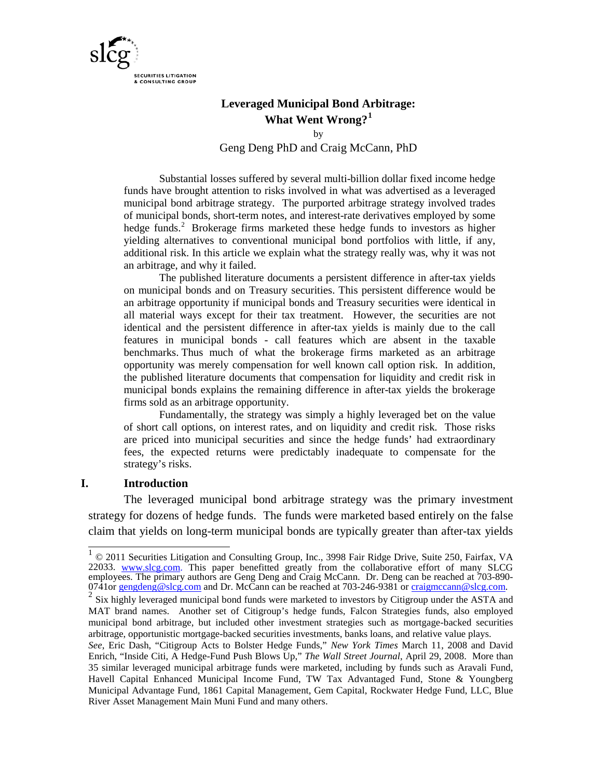

# **Leveraged Municipal Bond Arbitrage: What Went Wrong?[1](#page-0-0)**

by Geng Deng PhD and Craig McCann, PhD

Substantial losses suffered by several multi-billion dollar fixed income hedge funds have brought attention to risks involved in what was advertised as a leveraged municipal bond arbitrage strategy. The purported arbitrage strategy involved trades of municipal bonds, short-term notes, and interest-rate derivatives employed by some hedge funds. [2](#page-0-1) Brokerage firms marketed these hedge funds to investors as higher yielding alternatives to conventional municipal bond portfolios with little, if any, additional risk. In this article we explain what the strategy really was, why it was not an arbitrage, and why it failed.

The published literature documents a persistent difference in after-tax yields on municipal bonds and on Treasury securities. This persistent difference would be an arbitrage opportunity if municipal bonds and Treasury securities were identical in all material ways except for their tax treatment. However, the securities are not identical and the persistent difference in after-tax yields is mainly due to the call features in municipal bonds - call features which are absent in the taxable benchmarks. Thus much of what the brokerage firms marketed as an arbitrage opportunity was merely compensation for well known call option risk. In addition, the published literature documents that compensation for liquidity and credit risk in municipal bonds explains the remaining difference in after-tax yields the brokerage firms sold as an arbitrage opportunity.

Fundamentally, the strategy was simply a highly leveraged bet on the value of short call options, on interest rates, and on liquidity and credit risk. Those risks are priced into municipal securities and since the hedge funds' had extraordinary fees, the expected returns were predictably inadequate to compensate for the strategy's risks.

### **I. Introduction**

The leveraged municipal bond arbitrage strategy was the primary investment strategy for dozens of hedge funds. The funds were marketed based entirely on the false claim that yields on long-term municipal bonds are typically greater than after-tax yields

<span id="page-0-0"></span><sup>1 © 2011</sup> Securities Litigation and Consulting Group, Inc., 3998 Fair Ridge Drive, Suite 250, Fairfax, VA 22033. [www.slcg.com.](http://www.slcg.com/) This paper benefitted greatly from the collaborative effort of many SLCG employees. The primary authors are Geng Deng and Craig McCann. Dr. Deng can be reached at 703-890-<br>0741or <u>[gengdeng@slcg.com](mailto:gengdeng@slcg.com)</u> and Dr. McCann can be reached at 703-246-9381 or <u>craigmccann@slcg.com</u>.<br><sup>2</sup> Six highly leverage

<span id="page-0-1"></span>MAT brand names. Another set of Citigroup's hedge funds, Falcon Strategies funds, also employed municipal bond arbitrage, but included other investment strategies such as mortgage-backed securities arbitrage, opportunistic mortgage-backed securities investments, banks loans, and relative value plays.

*See*, Eric Dash, "Citigroup Acts to Bolster Hedge Funds," *New York Times* March 11, 2008 and David Enrich, "Inside Citi, A Hedge-Fund Push Blows Up," *The Wall Street Journal*, April 29, 2008. More than 35 similar leveraged municipal arbitrage funds were marketed, including by funds such as Aravali Fund, Havell Capital Enhanced Municipal Income Fund, TW Tax Advantaged Fund, Stone & Youngberg Municipal Advantage Fund, 1861 Capital Management, Gem Capital, Rockwater Hedge Fund, LLC, Blue River Asset Management Main Muni Fund and many others.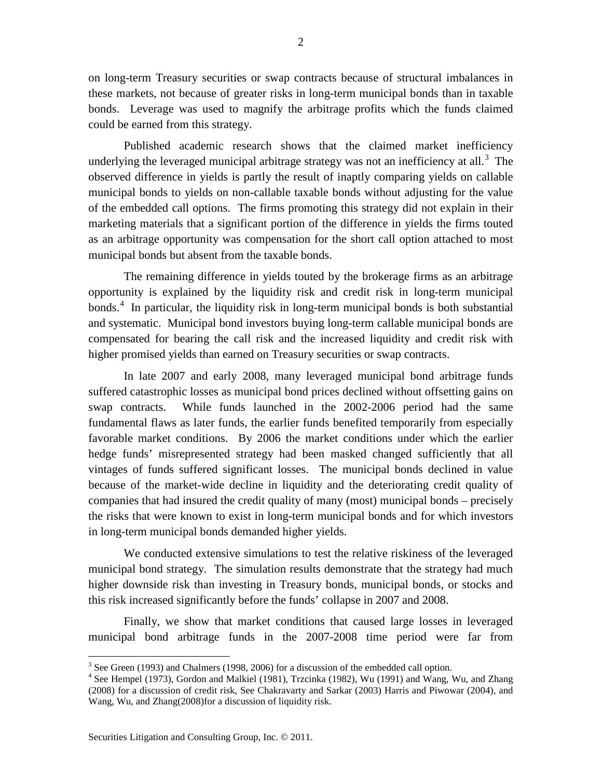on long-term Treasury securities or swap contracts because of structural imbalances in these markets, not because of greater risks in long-term municipal bonds than in taxable bonds. Leverage was used to magnify the arbitrage profits which the funds claimed could be earned from this strategy.

Published academic research shows that the claimed market inefficiency underlying the leveraged municipal arbitrage strategy was not an inefficiency at all.<sup>[3](#page-1-0)</sup> The observed difference in yields is partly the result of inaptly comparing yields on callable municipal bonds to yields on non-callable taxable bonds without adjusting for the value of the embedded call options. The firms promoting this strategy did not explain in their marketing materials that a significant portion of the difference in yields the firms touted as an arbitrage opportunity was compensation for the short call option attached to most municipal bonds but absent from the taxable bonds.

The remaining difference in yields touted by the brokerage firms as an arbitrage opportunity is explained by the liquidity risk and credit risk in long-term municipal bonds. [4](#page-1-1) In particular, the liquidity risk in long-term municipal bonds is both substantial and systematic. Municipal bond investors buying long-term callable municipal bonds are compensated for bearing the call risk and the increased liquidity and credit risk with higher promised yields than earned on Treasury securities or swap contracts.

In late 2007 and early 2008, many leveraged municipal bond arbitrage funds suffered catastrophic losses as municipal bond prices declined without offsetting gains on swap contracts. While funds launched in the 2002-2006 period had the same fundamental flaws as later funds, the earlier funds benefited temporarily from especially favorable market conditions. By 2006 the market conditions under which the earlier hedge funds' misrepresented strategy had been masked changed sufficiently that all vintages of funds suffered significant losses. The municipal bonds declined in value because of the market-wide decline in liquidity and the deteriorating credit quality of companies that had insured the credit quality of many (most) municipal bonds – precisely the risks that were known to exist in long-term municipal bonds and for which investors in long-term municipal bonds demanded higher yields.

We conducted extensive simulations to test the relative riskiness of the leveraged municipal bond strategy. The simulation results demonstrate that the strategy had much higher downside risk than investing in Treasury bonds, municipal bonds, or stocks and this risk increased significantly before the funds' collapse in 2007 and 2008.

Finally, we show that market conditions that caused large losses in leveraged municipal bond arbitrage funds in the 2007-2008 time period were far from

 $3$  See Green (1993) and Chalmers (1998, 2006) for a discussion of the embedded call option.

<span id="page-1-1"></span><span id="page-1-0"></span><sup>&</sup>lt;sup>4</sup> See Hempel (1973), Gordon and Malkiel (1981), Trzcinka (1982), Wu (1991) and Wang, Wu, and Zhang (2008) for a discussion of credit risk, See Chakravarty and Sarkar (2003) Harris and Piwowar (2004), and Wang, Wu, and Zhang(2008)for a discussion of liquidity risk.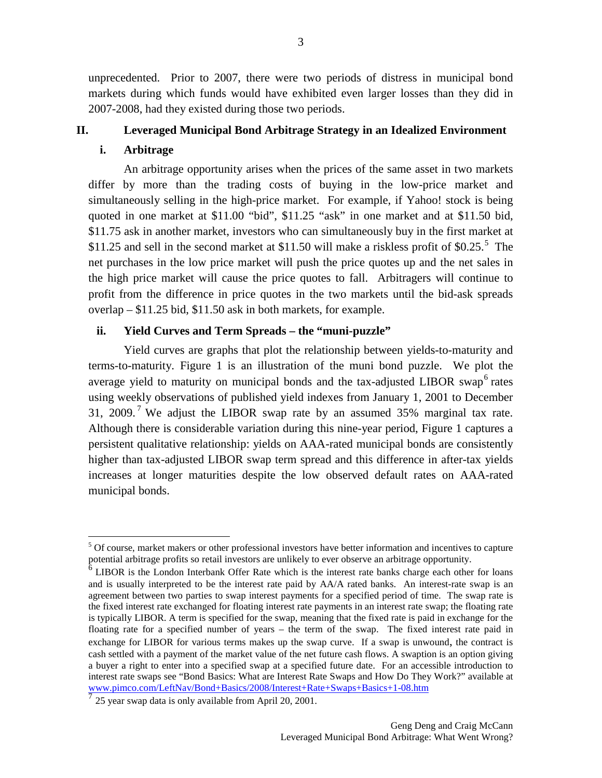unprecedented. Prior to 2007, there were two periods of distress in municipal bond markets during which funds would have exhibited even larger losses than they did in 2007-2008, had they existed during those two periods.

## **II. Leveraged Municipal Bond Arbitrage Strategy in an Idealized Environment**

### **i. Arbitrage**

An arbitrage opportunity arises when the prices of the same asset in two markets differ by more than the trading costs of buying in the low-price market and simultaneously selling in the high-price market. For example, if Yahoo! stock is being quoted in one market at \$11.00 "bid", \$11.25 "ask" in one market and at \$11.50 bid, \$11.75 ask in another market, investors who can simultaneously buy in the first market at  $$11.25$  $$11.25$  and sell in the second market at \$11.50 will make a riskless profit of \$0.25.<sup>5</sup> The net purchases in the low price market will push the price quotes up and the net sales in the high price market will cause the price quotes to fall. Arbitragers will continue to profit from the difference in price quotes in the two markets until the bid-ask spreads overlap – \$11.25 bid, \$11.50 ask in both markets, for example.

# **ii. Yield Curves and Term Spreads – the "muni-puzzle"**

Yield curves are graphs that plot the relationship between yields-to-maturity and terms-to-maturity. Figure 1 is an illustration of the muni bond puzzle. We plot the average yield to maturity on municipal bonds and the tax-adjusted LIBOR swap<sup>[6](#page-2-1)</sup> rates using weekly observations of published yield indexes from January 1, 2001 to December 31, 2009.<sup>[7](#page-2-2)</sup> We adjust the LIBOR swap rate by an assumed 35% marginal tax rate. Although there is considerable variation during this nine-year period, Figure 1 captures a persistent qualitative relationship: yields on AAA-rated municipal bonds are consistently higher than tax-adjusted LIBOR swap term spread and this difference in after-tax yields increases at longer maturities despite the low observed default rates on AAA-rated municipal bonds.

<span id="page-2-0"></span> $<sup>5</sup>$  Of course, market makers or other professional investors have better information and incentives to capture</sup> potential arbitrage profits so retail investors are unlikely to ever observe an arbitrage opportunity.

<span id="page-2-1"></span><sup>6</sup> LIBOR is the London Interbank Offer Rate which is the interest rate banks charge each other for loans and is usually interpreted to be the interest rate paid by AA/A rated banks. An interest-rate swap is an agreement between two parties to swap interest payments for a specified period of time. The swap rate is the fixed interest rate exchanged for floating interest rate payments in an interest rate swap; the floating rate is typically LIBOR. A term is specified for the swap, meaning that the fixed rate is paid in exchange for the floating rate for a specified number of years – the term of the swap. The fixed interest rate paid in exchange for LIBOR for various terms makes up the swap curve. If a swap is unwound, the contract is cash settled with a payment of the market value of the net future cash flows. A swaption is an option giving a buyer a right to enter into a specified swap at a specified future date. For an accessible introduction to interest rate swaps see "Bond Basics: What are Interest Rate Swaps and How Do They Work?" available at [www.pimco.com/LeftNav/Bond+Basics/2008/Interest+Rate+Swaps+Basics+1-08.htm](http://www.pimco.com/LeftNav/Bond+Basics/2008/Interest+Rate+Swaps+Basics+1-08.htm)

<span id="page-2-2"></span> $\frac{7}{7}$  25 year swap data is only available from April 20, 2001.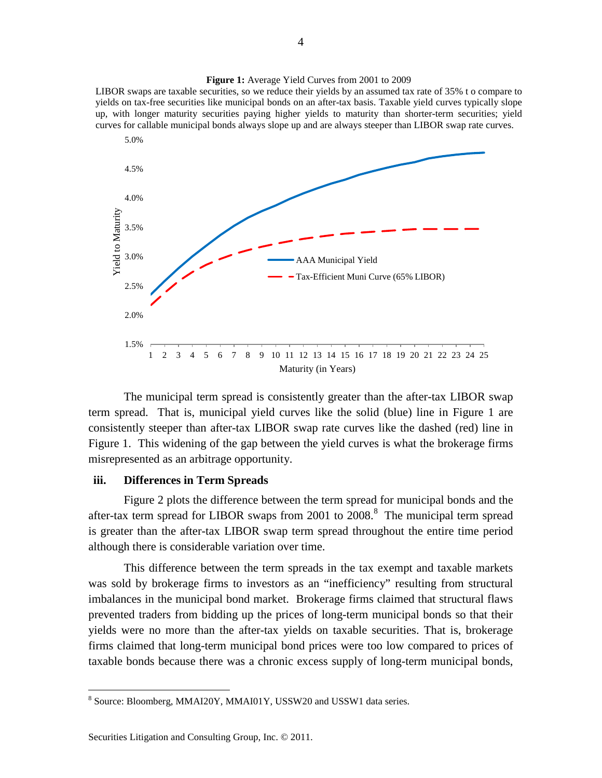

The municipal term spread is consistently greater than the after-tax LIBOR swap term spread. That is, municipal yield curves like the solid (blue) line in Figure 1 are consistently steeper than after-tax LIBOR swap rate curves like the dashed (red) line in Figure 1. This widening of the gap between the yield curves is what the brokerage firms misrepresented as an arbitrage opportunity.

### **iii. Differences in Term Spreads**

Figure 2 plots the difference between the term spread for municipal bonds and the after-tax term spread for LIBOR swaps from  $2001$  to  $2008$  $2008$ .<sup>8</sup> The municipal term spread is greater than the after-tax LIBOR swap term spread throughout the entire time period although there is considerable variation over time.

This difference between the term spreads in the tax exempt and taxable markets was sold by brokerage firms to investors as an "inefficiency" resulting from structural imbalances in the municipal bond market. Brokerage firms claimed that structural flaws prevented traders from bidding up the prices of long-term municipal bonds so that their yields were no more than the after-tax yields on taxable securities. That is, brokerage firms claimed that long-term municipal bond prices were too low compared to prices of taxable bonds because there was a chronic excess supply of long-term municipal bonds,

**Figure 1:** Average Yield Curves from 2001 to 2009 LIBOR swaps are taxable securities, so we reduce their yields by an assumed tax rate of 35% t o compare to

<span id="page-3-0"></span><sup>&</sup>lt;sup>8</sup> Source: Bloomberg, MMAI20Y, MMAI01Y, USSW20 and USSW1 data series.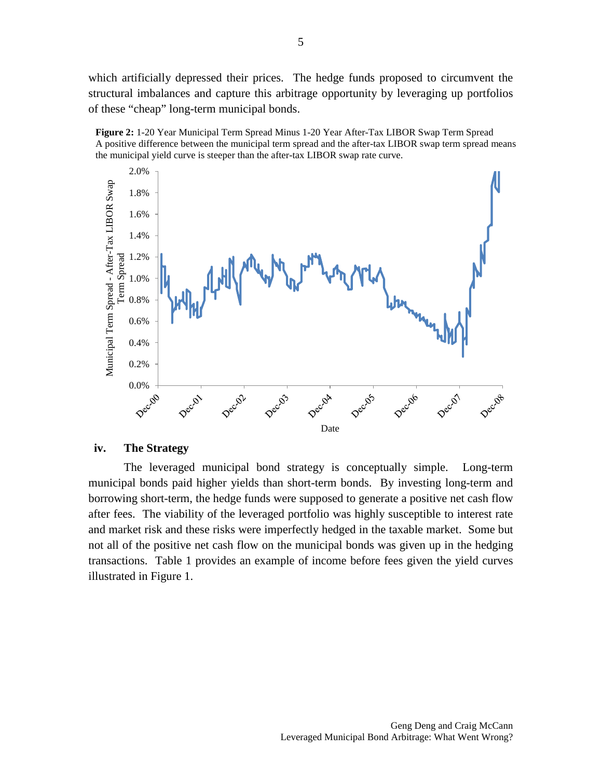which artificially depressed their prices. The hedge funds proposed to circumvent the structural imbalances and capture this arbitrage opportunity by leveraging up portfolios of these "cheap" long-term municipal bonds.





### **iv. The Strategy**

The leveraged municipal bond strategy is conceptually simple. Long-term municipal bonds paid higher yields than short-term bonds. By investing long-term and borrowing short-term, the hedge funds were supposed to generate a positive net cash flow after fees. The viability of the leveraged portfolio was highly susceptible to interest rate and market risk and these risks were imperfectly hedged in the taxable market. Some but not all of the positive net cash flow on the municipal bonds was given up in the hedging transactions. Table 1 provides an example of income before fees given the yield curves illustrated in Figure 1.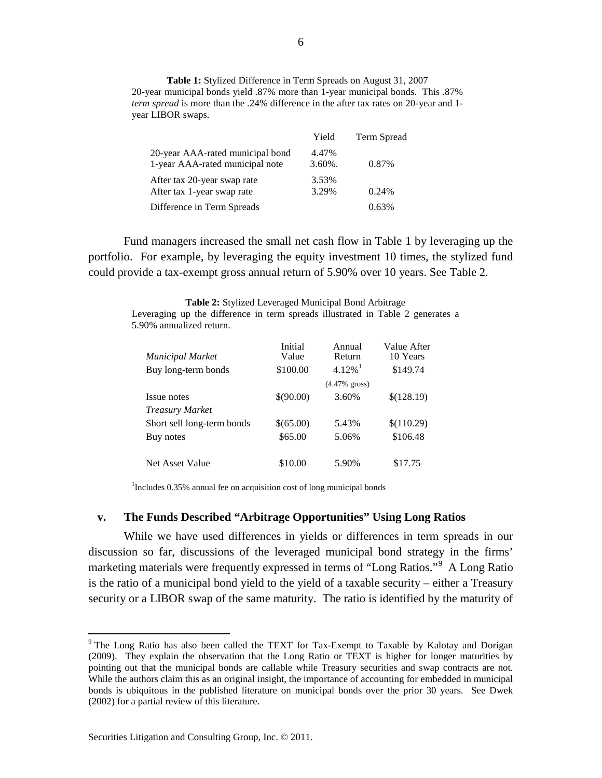**Table 1:** Stylized Difference in Term Spreads on August 31, 2007 20-year municipal bonds yield .87% more than 1-year municipal bonds. This .87% *term spread* is more than the .24% difference in the after tax rates on 20-year and 1 year LIBOR swaps.

|                                                                     | Yield               | Term Spread |
|---------------------------------------------------------------------|---------------------|-------------|
| 20-year AAA-rated municipal bond<br>1-year AAA-rated municipal note | 4.47%<br>$3.60\%$ . | 0.87%       |
| After tax 20-year swap rate<br>After tax 1-year swap rate           | 3.53%<br>3.29%      | 0.24%       |
| Difference in Term Spreads                                          |                     | 0.63%       |

Fund managers increased the small net cash flow in Table 1 by leveraging up the portfolio. For example, by leveraging the equity investment 10 times, the stylized fund could provide a tax-exempt gross annual return of 5.90% over 10 years. See Table 2.

**Table 2:** Stylized Leveraged Municipal Bond Arbitrage

Leveraging up the difference in term spreads illustrated in Table 2 generates a 5.90% annualized return.

| <b>Municipal Market</b>    | Initial<br>Value | Annual<br>Return      | Value After<br>10 Years |
|----------------------------|------------------|-----------------------|-------------------------|
| Buy long-term bonds        | \$100.00         | $4.12\%$ <sup>1</sup> | \$149.74                |
|                            |                  | $(4.47%$ gross)       |                         |
| Issue notes                | \$(90.00)        | 3.60%                 | \$(128.19)              |
| <b>Treasury Market</b>     |                  |                       |                         |
| Short sell long-term bonds | \$(65.00)        | 5.43%                 | \$(110.29)              |
| Buy notes                  | \$65.00          | 5.06%                 | \$106.48                |
|                            |                  |                       |                         |
| Net Asset Value            | \$10.00          | 5.90%                 | \$17.75                 |

<sup>1</sup>Includes 0.35% annual fee on acquisition cost of long municipal bonds

### **v. The Funds Described "Arbitrage Opportunities" Using Long Ratios**

While we have used differences in yields or differences in term spreads in our discussion so far, discussions of the leveraged municipal bond strategy in the firms' marketing materials were frequently expressed in terms of "Long Ratios."<sup>[9](#page-5-0)</sup> A Long Ratio is the ratio of a municipal bond yield to the yield of a taxable security – either a Treasury security or a LIBOR swap of the same maturity. The ratio is identified by the maturity of

<span id="page-5-0"></span><sup>&</sup>lt;sup>9</sup> The Long Ratio has also been called the TEXT for Tax-Exempt to Taxable by Kalotay and Dorigan (2009). They explain the observation that the Long Ratio or TEXT is higher for longer maturities by pointing out that the municipal bonds are callable while Treasury securities and swap contracts are not. While the authors claim this as an original insight, the importance of accounting for embedded in municipal bonds is ubiquitous in the published literature on municipal bonds over the prior 30 years. See Dwek (2002) for a partial review of this literature.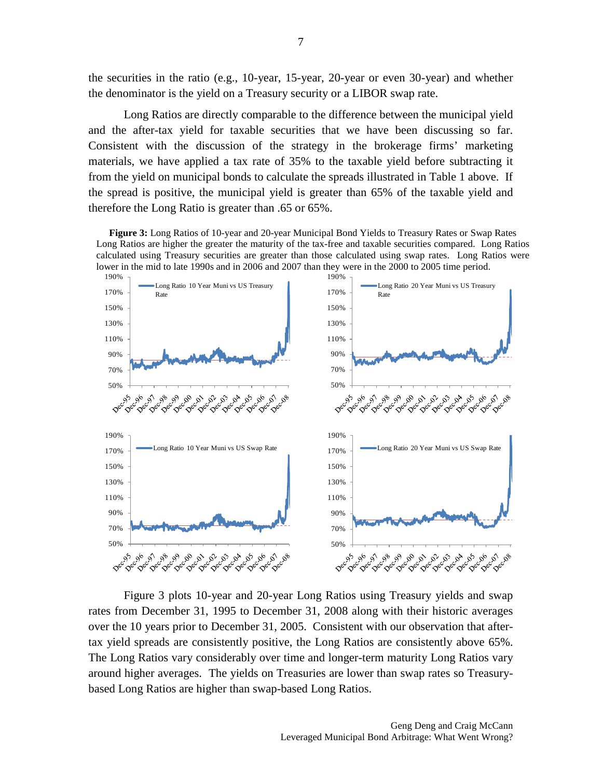the securities in the ratio (e.g., 10-year, 15-year, 20-year or even 30-year) and whether the denominator is the yield on a Treasury security or a LIBOR swap rate.

Long Ratios are directly comparable to the difference between the municipal yield and the after-tax yield for taxable securities that we have been discussing so far. Consistent with the discussion of the strategy in the brokerage firms' marketing materials, we have applied a tax rate of 35% to the taxable yield before subtracting it from the yield on municipal bonds to calculate the spreads illustrated in Table 1 above. If the spread is positive, the municipal yield is greater than 65% of the taxable yield and therefore the Long Ratio is greater than .65 or 65%.

**Figure 3:** Long Ratios of 10-year and 20-year Municipal Bond Yields to Treasury Rates or Swap Rates Long Ratios are higher the greater the maturity of the tax-free and taxable securities compared. Long Ratios calculated using Treasury securities are greater than those calculated using swap rates. Long Ratios were lower in the mid to late 1990s and in 2006 and 2007 than they were in the 2000 to 2005 time period.



Figure 3 plots 10-year and 20-year Long Ratios using Treasury yields and swap rates from December 31, 1995 to December 31, 2008 along with their historic averages over the 10 years prior to December 31, 2005. Consistent with our observation that aftertax yield spreads are consistently positive, the Long Ratios are consistently above 65%. The Long Ratios vary considerably over time and longer-term maturity Long Ratios vary around higher averages. The yields on Treasuries are lower than swap rates so Treasurybased Long Ratios are higher than swap-based Long Ratios.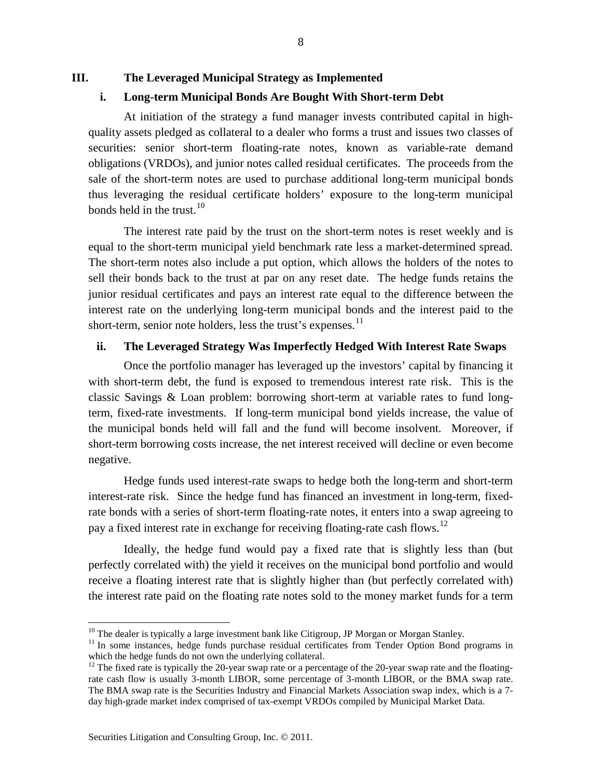**III. The Leveraged Municipal Strategy as Implemented**

# **i. Long-term Municipal Bonds Are Bought With Short-term Debt**

At initiation of the strategy a fund manager invests contributed capital in highquality assets pledged as collateral to a dealer who forms a trust and issues two classes of securities: senior short-term floating-rate notes, known as variable-rate demand obligations (VRDOs), and junior notes called residual certificates. The proceeds from the sale of the short-term notes are used to purchase additional long-term municipal bonds thus leveraging the residual certificate holders' exposure to the long-term municipal bonds held in the trust.<sup>[10](#page-7-0)</sup>

The interest rate paid by the trust on the short-term notes is reset weekly and is equal to the short-term municipal yield benchmark rate less a market-determined spread. The short-term notes also include a put option, which allows the holders of the notes to sell their bonds back to the trust at par on any reset date. The hedge funds retains the junior residual certificates and pays an interest rate equal to the difference between the interest rate on the underlying long-term municipal bonds and the interest paid to the short-term, senior note holders, less the trust's expenses. $^{11}$  $^{11}$  $^{11}$ 

# **ii. The Leveraged Strategy Was Imperfectly Hedged With Interest Rate Swaps**

Once the portfolio manager has leveraged up the investors' capital by financing it with short-term debt, the fund is exposed to tremendous interest rate risk. This is the classic Savings & Loan problem: borrowing short-term at variable rates to fund longterm, fixed-rate investments. If long-term municipal bond yields increase, the value of the municipal bonds held will fall and the fund will become insolvent. Moreover, if short-term borrowing costs increase, the net interest received will decline or even become negative.

Hedge funds used interest-rate swaps to hedge both the long-term and short-term interest-rate risk. Since the hedge fund has financed an investment in long-term, fixedrate bonds with a series of short-term floating-rate notes, it enters into a swap agreeing to pay a fixed interest rate in exchange for receiving floating-rate cash flows.<sup>[12](#page-7-2)</sup>

Ideally, the hedge fund would pay a fixed rate that is slightly less than (but perfectly correlated with) the yield it receives on the municipal bond portfolio and would receive a floating interest rate that is slightly higher than (but perfectly correlated with) the interest rate paid on the floating rate notes sold to the money market funds for a term

<span id="page-7-1"></span><span id="page-7-0"></span><sup>&</sup>lt;sup>10</sup> The dealer is typically a large investment bank like Citigroup, JP Morgan or Morgan Stanley.<br><sup>11</sup> In some instances, hedge funds purchase residual certificates from Tender Option Bond programs in which the hedge funds do not own the underlying collateral.

<span id="page-7-2"></span><sup>&</sup>lt;sup>12</sup> The fixed rate is typically the 20-year swap rate or a percentage of the 20-year swap rate and the floatingrate cash flow is usually 3-month LIBOR, some percentage of 3-month LIBOR, or the BMA swap rate. The BMA swap rate is the Securities Industry and Financial Markets Association swap index, which is a 7 day high-grade market index comprised of tax-exempt VRDOs compiled by Municipal Market Data.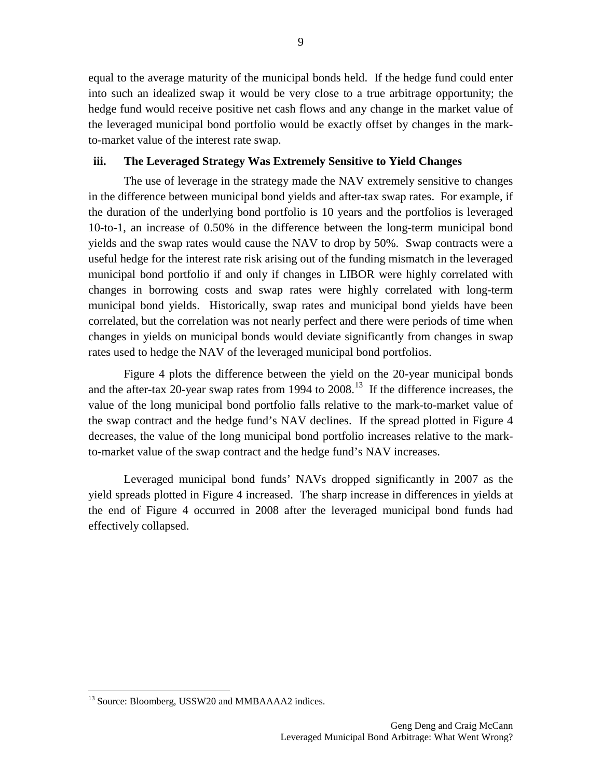equal to the average maturity of the municipal bonds held. If the hedge fund could enter into such an idealized swap it would be very close to a true arbitrage opportunity; the hedge fund would receive positive net cash flows and any change in the market value of the leveraged municipal bond portfolio would be exactly offset by changes in the markto-market value of the interest rate swap.

# **iii. The Leveraged Strategy Was Extremely Sensitive to Yield Changes**

The use of leverage in the strategy made the NAV extremely sensitive to changes in the difference between municipal bond yields and after-tax swap rates. For example, if the duration of the underlying bond portfolio is 10 years and the portfolios is leveraged 10-to-1, an increase of 0.50% in the difference between the long-term municipal bond yields and the swap rates would cause the NAV to drop by 50%. Swap contracts were a useful hedge for the interest rate risk arising out of the funding mismatch in the leveraged municipal bond portfolio if and only if changes in LIBOR were highly correlated with changes in borrowing costs and swap rates were highly correlated with long-term municipal bond yields. Historically, swap rates and municipal bond yields have been correlated, but the correlation was not nearly perfect and there were periods of time when changes in yields on municipal bonds would deviate significantly from changes in swap rates used to hedge the NAV of the leveraged municipal bond portfolios.

Figure 4 plots the difference between the yield on the 20-year municipal bonds and the after-tax 20-year swap rates from 1994 to  $2008$ .<sup>[13](#page-8-0)</sup> If the difference increases, the value of the long municipal bond portfolio falls relative to the mark-to-market value of the swap contract and the hedge fund's NAV declines. If the spread plotted in Figure 4 decreases, the value of the long municipal bond portfolio increases relative to the markto-market value of the swap contract and the hedge fund's NAV increases.

Leveraged municipal bond funds' NAVs dropped significantly in 2007 as the yield spreads plotted in Figure 4 increased. The sharp increase in differences in yields at the end of Figure 4 occurred in 2008 after the leveraged municipal bond funds had effectively collapsed.

<span id="page-8-0"></span><sup>&</sup>lt;sup>13</sup> Source: Bloomberg, USSW20 and MMBAAAA2 indices.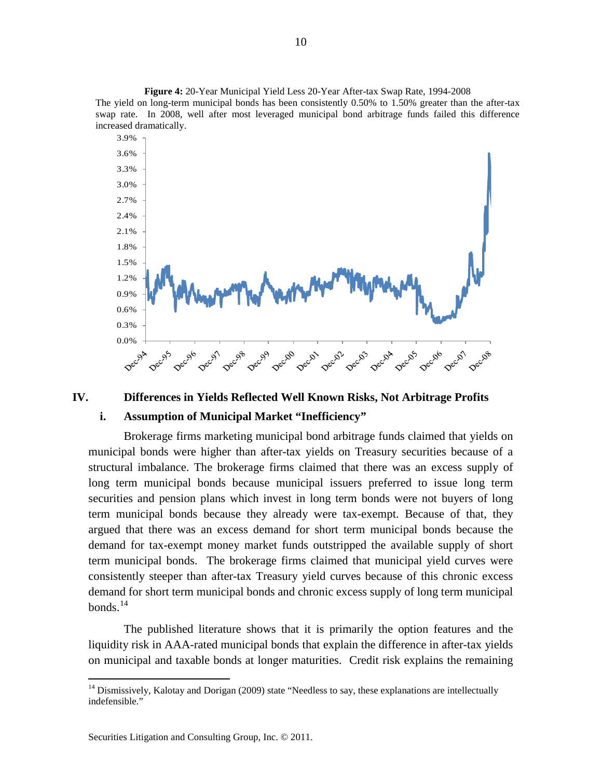**Figure 4:** 20-Year Municipal Yield Less 20-Year After-tax Swap Rate, 1994-2008 The yield on long-term municipal bonds has been consistently 0.50% to 1.50% greater than the after-tax swap rate. In 2008, well after most leveraged municipal bond arbitrage funds failed this difference increased dramatically.



#### **IV. Differences in Yields Reflected Well Known Risks, Not Arbitrage Profits**

# **i. Assumption of Municipal Market "Inefficiency"**

Brokerage firms marketing municipal bond arbitrage funds claimed that yields on municipal bonds were higher than after-tax yields on Treasury securities because of a structural imbalance. The brokerage firms claimed that there was an excess supply of long term municipal bonds because municipal issuers preferred to issue long term securities and pension plans which invest in long term bonds were not buyers of long term municipal bonds because they already were tax-exempt. Because of that, they argued that there was an excess demand for short term municipal bonds because the demand for tax-exempt money market funds outstripped the available supply of short term municipal bonds. The brokerage firms claimed that municipal yield curves were consistently steeper than after-tax Treasury yield curves because of this chronic excess demand for short term municipal bonds and chronic excess supply of long term municipal  $b$ onds<sup>[14](#page-9-0)</sup>

The published literature shows that it is primarily the option features and the liquidity risk in AAA-rated municipal bonds that explain the difference in after-tax yields on municipal and taxable bonds at longer maturities. Credit risk explains the remaining

<span id="page-9-0"></span> $14$  Dismissively, Kalotay and Dorigan (2009) state "Needless to say, these explanations are intellectually indefensible."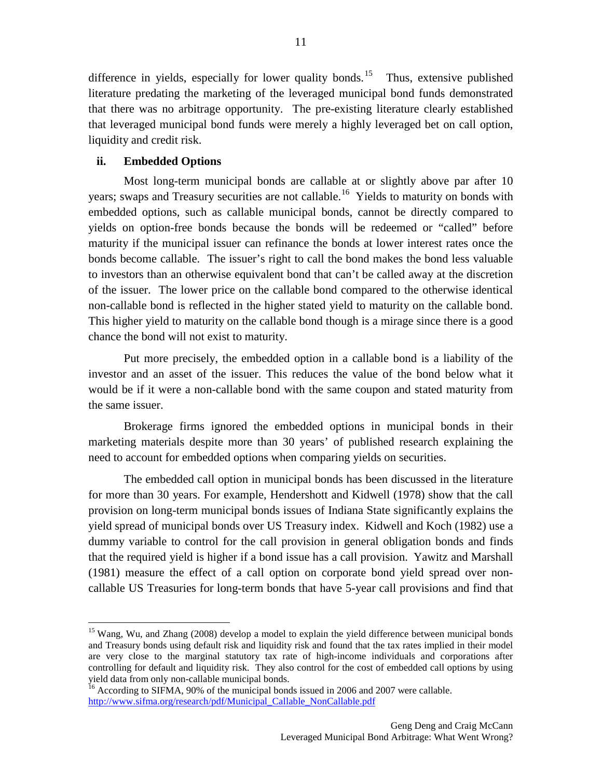difference in yields, especially for lower quality bonds.<sup>[15](#page-10-0)</sup> Thus, extensive published literature predating the marketing of the leveraged municipal bond funds demonstrated that there was no arbitrage opportunity. The pre-existing literature clearly established that leveraged municipal bond funds were merely a highly leveraged bet on call option, liquidity and credit risk.

# **ii. Embedded Options**

Most long-term municipal bonds are callable at or slightly above par after 10 years; swaps and Treasury securities are not callable.<sup>[16](#page-10-1)</sup> Yields to maturity on bonds with embedded options, such as callable municipal bonds, cannot be directly compared to yields on option-free bonds because the bonds will be redeemed or "called" before maturity if the municipal issuer can refinance the bonds at lower interest rates once the bonds become callable. The issuer's right to call the bond makes the bond less valuable to investors than an otherwise equivalent bond that can't be called away at the discretion of the issuer. The lower price on the callable bond compared to the otherwise identical non-callable bond is reflected in the higher stated yield to maturity on the callable bond. This higher yield to maturity on the callable bond though is a mirage since there is a good chance the bond will not exist to maturity.

Put more precisely, the embedded option in a callable bond is a liability of the investor and an asset of the issuer. This reduces the value of the bond below what it would be if it were a non-callable bond with the same coupon and stated maturity from the same issuer.

Brokerage firms ignored the embedded options in municipal bonds in their marketing materials despite more than 30 years' of published research explaining the need to account for embedded options when comparing yields on securities.

The embedded call option in municipal bonds has been discussed in the literature for more than 30 years. For example, Hendershott and Kidwell (1978) show that the call provision on long-term municipal bonds issues of Indiana State significantly explains the yield spread of municipal bonds over US Treasury index. Kidwell and Koch (1982) use a dummy variable to control for the call provision in general obligation bonds and finds that the required yield is higher if a bond issue has a call provision. Yawitz and Marshall (1981) measure the effect of a call option on corporate bond yield spread over noncallable US Treasuries for long-term bonds that have 5-year call provisions and find that

<span id="page-10-0"></span><sup>&</sup>lt;sup>15</sup> Wang, Wu, and Zhang (2008) develop a model to explain the yield difference between municipal bonds and Treasury bonds using default risk and liquidity risk and found that the tax rates implied in their model are very close to the marginal statutory tax rate of high-income individuals and corporations after controlling for default and liquidity risk. They also control for the cost of embedded call options by using yield data from only non-callable municipal bonds.<br><sup>16</sup> According to SIFMA, 90% of the municipal bonds issued in 2006 and 2007 were callable.

<span id="page-10-1"></span>[http://www.sifma.org/research/pdf/Municipal\\_Callable\\_NonCallable.pdf](http://www.sifma.org/research/pdf/Municipal_Callable_NonCallable.pdf)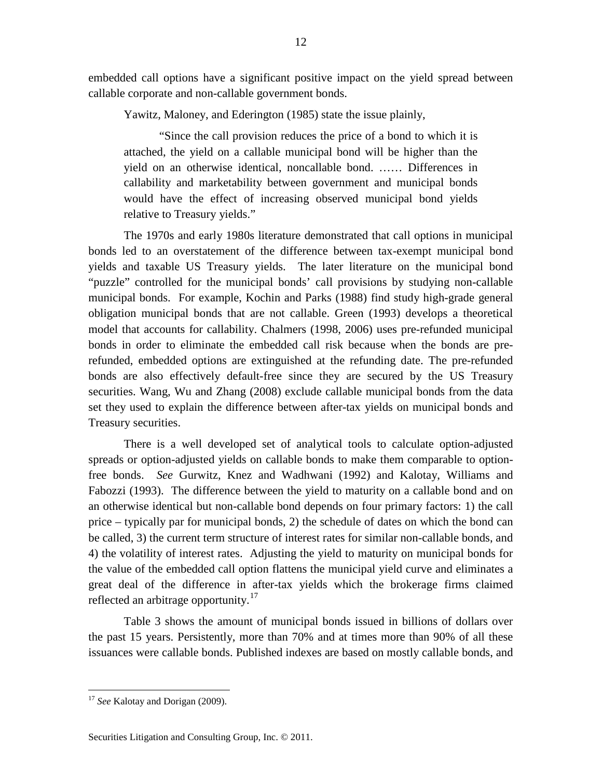embedded call options have a significant positive impact on the yield spread between callable corporate and non-callable government bonds.

Yawitz, Maloney, and Ederington (1985) state the issue plainly,

"Since the call provision reduces the price of a bond to which it is attached, the yield on a callable municipal bond will be higher than the yield on an otherwise identical, noncallable bond. …… Differences in callability and marketability between government and municipal bonds would have the effect of increasing observed municipal bond yields relative to Treasury yields."

The 1970s and early 1980s literature demonstrated that call options in municipal bonds led to an overstatement of the difference between tax-exempt municipal bond yields and taxable US Treasury yields. The later literature on the municipal bond "puzzle" controlled for the municipal bonds' call provisions by studying non-callable municipal bonds. For example, Kochin and Parks (1988) find study high-grade general obligation municipal bonds that are not callable. Green (1993) develops a theoretical model that accounts for callability. Chalmers (1998, 2006) uses pre-refunded municipal bonds in order to eliminate the embedded call risk because when the bonds are prerefunded, embedded options are extinguished at the refunding date. The pre-refunded bonds are also effectively default-free since they are secured by the US Treasury securities. Wang, Wu and Zhang (2008) exclude callable municipal bonds from the data set they used to explain the difference between after-tax yields on municipal bonds and Treasury securities.

There is a well developed set of analytical tools to calculate option-adjusted spreads or option-adjusted yields on callable bonds to make them comparable to optionfree bonds. *See* Gurwitz, Knez and Wadhwani (1992) and Kalotay, Williams and Fabozzi (1993). The difference between the yield to maturity on a callable bond and on an otherwise identical but non-callable bond depends on four primary factors: 1) the call price – typically par for municipal bonds, 2) the schedule of dates on which the bond can be called, 3) the current term structure of interest rates for similar non-callable bonds, and 4) the volatility of interest rates. Adjusting the yield to maturity on municipal bonds for the value of the embedded call option flattens the municipal yield curve and eliminates a great deal of the difference in after-tax yields which the brokerage firms claimed reflected an arbitrage opportunity.<sup>[17](#page-11-0)</sup>

Table 3 shows the amount of municipal bonds issued in billions of dollars over the past 15 years. Persistently, more than 70% and at times more than 90% of all these issuances were callable bonds. Published indexes are based on mostly callable bonds, and

<span id="page-11-0"></span><sup>&</sup>lt;sup>17</sup> See Kalotay and Dorigan (2009).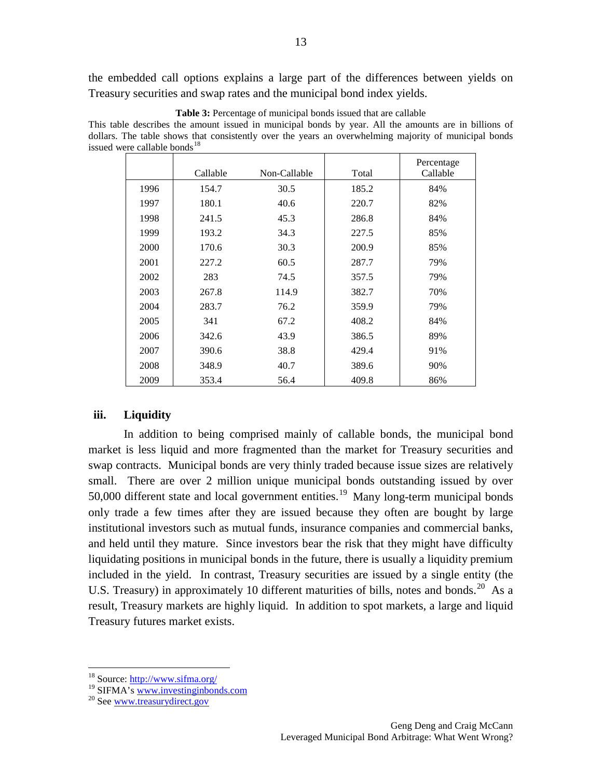the embedded call options explains a large part of the differences between yields on Treasury securities and swap rates and the municipal bond index yields.

|      | Callable | Non-Callable | Total | Percentage<br>Callable |
|------|----------|--------------|-------|------------------------|
| 1996 | 154.7    | 30.5         | 185.2 | 84%                    |
| 1997 | 180.1    | 40.6         | 220.7 | 82%                    |
| 1998 | 241.5    | 45.3         | 286.8 | 84%                    |
| 1999 | 193.2    | 34.3         | 227.5 | 85%                    |
| 2000 | 170.6    | 30.3         | 200.9 | 85%                    |
| 2001 | 227.2    | 60.5         | 287.7 | 79%                    |
| 2002 | 283      | 74.5         | 357.5 | 79%                    |
| 2003 | 267.8    | 114.9        | 382.7 | 70%                    |
| 2004 | 283.7    | 76.2         | 359.9 | 79%                    |
| 2005 | 341      | 67.2         | 408.2 | 84%                    |
| 2006 | 342.6    | 43.9         | 386.5 | 89%                    |
| 2007 | 390.6    | 38.8         | 429.4 | 91%                    |
| 2008 | 348.9    | 40.7         | 389.6 | 90%                    |
| 2009 | 353.4    | 56.4         | 409.8 | 86%                    |

**Table 3:** Percentage of municipal bonds issued that are callable

This table describes the amount issued in municipal bonds by year. All the amounts are in billions of dollars. The table shows that consistently over the years an overwhelming majority of municipal bonds issued were callable bonds $^{18}$  $^{18}$  $^{18}$ 

### **iii. Liquidity**

In addition to being comprised mainly of callable bonds, the municipal bond market is less liquid and more fragmented than the market for Treasury securities and swap contracts. Municipal bonds are very thinly traded because issue sizes are relatively small. There are over 2 million unique municipal bonds outstanding issued by over 50,000 different state and local government entities.<sup>[19](#page-12-1)</sup> Many long-term municipal bonds only trade a few times after they are issued because they often are bought by large institutional investors such as mutual funds, insurance companies and commercial banks, and held until they mature. Since investors bear the risk that they might have difficulty liquidating positions in municipal bonds in the future, there is usually a liquidity premium included in the yield. In contrast, Treasury securities are issued by a single entity (the U.S. Treasury) in approximately 10 different maturities of bills, notes and bonds.<sup>[20](#page-12-2)</sup> As a result, Treasury markets are highly liquid. In addition to spot markets, a large and liquid Treasury futures market exists.

<sup>&</sup>lt;sup>18</sup> Source: <http://www.sifma.org/>

<span id="page-12-2"></span><span id="page-12-1"></span><span id="page-12-0"></span><sup>&</sup>lt;sup>19</sup> SIFMA's [www.investinginbonds.com](http://www.investinginbonds.com/) <sup>20</sup> See [www.treasurydirect.gov](http://www.treasurydirect.gov/)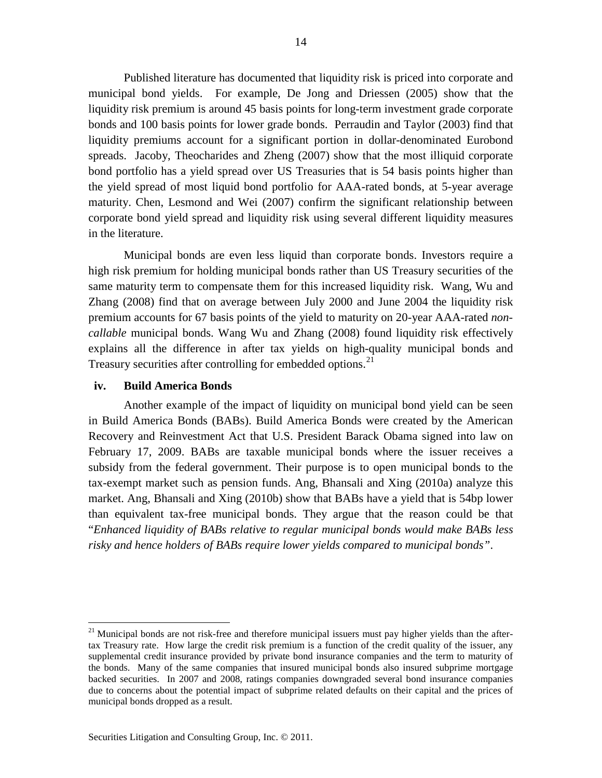Published literature has documented that liquidity risk is priced into corporate and municipal bond yields. For example, De Jong and Driessen (2005) show that the liquidity risk premium is around 45 basis points for long-term investment grade corporate bonds and 100 basis points for lower grade bonds. Perraudin and Taylor (2003) find that liquidity premiums account for a significant portion in dollar-denominated Eurobond spreads. Jacoby, Theocharides and Zheng (2007) show that the most illiquid corporate bond portfolio has a yield spread over US Treasuries that is 54 basis points higher than the yield spread of most liquid bond portfolio for AAA-rated bonds, at 5-year average maturity. Chen, Lesmond and Wei (2007) confirm the significant relationship between corporate bond yield spread and liquidity risk using several different liquidity measures in the literature.

Municipal bonds are even less liquid than corporate bonds. Investors require a high risk premium for holding municipal bonds rather than US Treasury securities of the same maturity term to compensate them for this increased liquidity risk. Wang, Wu and Zhang (2008) find that on average between July 2000 and June 2004 the liquidity risk premium accounts for 67 basis points of the yield to maturity on 20-year AAA-rated *noncallable* municipal bonds. Wang Wu and Zhang (2008) found liquidity risk effectively explains all the difference in after tax yields on high-quality municipal bonds and Treasury securities after controlling for embedded options.<sup>[21](#page-13-0)</sup>

### **iv. Build America Bonds**

Another example of the impact of liquidity on municipal bond yield can be seen in Build America Bonds (BABs). Build America Bonds were created by the American Recovery and Reinvestment Act that U.S. President Barack Obama signed into law on February 17, 2009. BABs are taxable municipal bonds where the issuer receives a subsidy from the federal government. Their purpose is to open municipal bonds to the tax-exempt market such as pension funds. Ang, Bhansali and Xing (2010a) analyze this market. Ang, Bhansali and Xing (2010b) show that BABs have a yield that is 54bp lower than equivalent tax-free municipal bonds. They argue that the reason could be that "*Enhanced liquidity of BABs relative to regular municipal bonds would make BABs less risky and hence holders of BABs require lower yields compared to municipal bonds"*.

<span id="page-13-0"></span><sup>&</sup>lt;sup>21</sup> Municipal bonds are not risk-free and therefore municipal issuers must pay higher yields than the aftertax Treasury rate. How large the credit risk premium is a function of the credit quality of the issuer, any supplemental credit insurance provided by private bond insurance companies and the term to maturity of the bonds. Many of the same companies that insured municipal bonds also insured subprime mortgage backed securities. In 2007 and 2008, ratings companies downgraded several bond insurance companies due to concerns about the potential impact of subprime related defaults on their capital and the prices of municipal bonds dropped as a result.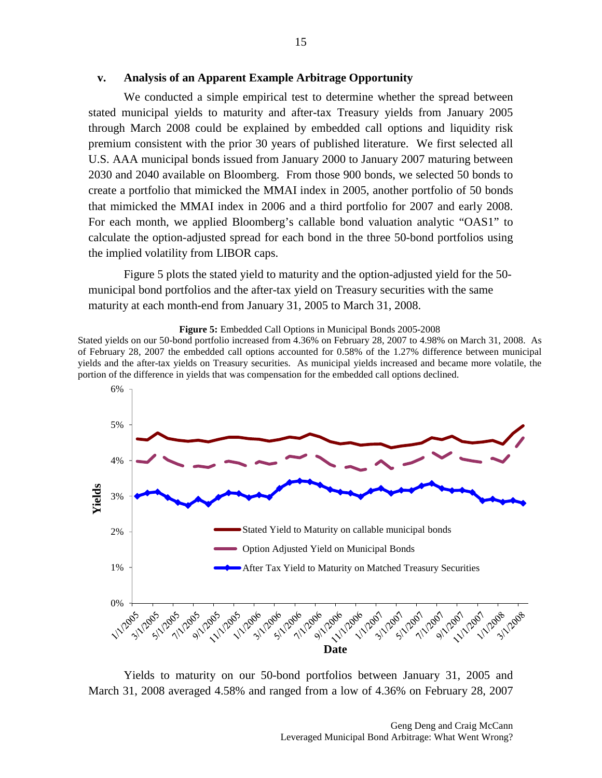#### **v. Analysis of an Apparent Example Arbitrage Opportunity**

We conducted a simple empirical test to determine whether the spread between stated municipal yields to maturity and after-tax Treasury yields from January 2005 through March 2008 could be explained by embedded call options and liquidity risk premium consistent with the prior 30 years of published literature. We first selected all U.S. AAA municipal bonds issued from January 2000 to January 2007 maturing between 2030 and 2040 available on Bloomberg. From those 900 bonds, we selected 50 bonds to create a portfolio that mimicked the MMAI index in 2005, another portfolio of 50 bonds that mimicked the MMAI index in 2006 and a third portfolio for 2007 and early 2008. For each month, we applied Bloomberg's callable bond valuation analytic "OAS1" to calculate the option-adjusted spread for each bond in the three 50-bond portfolios using the implied volatility from LIBOR caps.

Figure 5 plots the stated yield to maturity and the option-adjusted yield for the 50 municipal bond portfolios and the after-tax yield on Treasury securities with the same maturity at each month-end from January 31, 2005 to March 31, 2008.



**Figure 5:** Embedded Call Options in Municipal Bonds 2005-2008

Stated yields on our 50-bond portfolio increased from 4.36% on February 28, 2007 to 4.98% on March 31, 2008. As of February 28, 2007 the embedded call options accounted for 0.58% of the 1.27% difference between municipal yields and the after-tax yields on Treasury securities. As municipal yields increased and became more volatile, the portion of the difference in yields that was compensation for the embedded call options declined.

Yields to maturity on our 50-bond portfolios between January 31, 2005 and March 31, 2008 averaged 4.58% and ranged from a low of 4.36% on February 28, 2007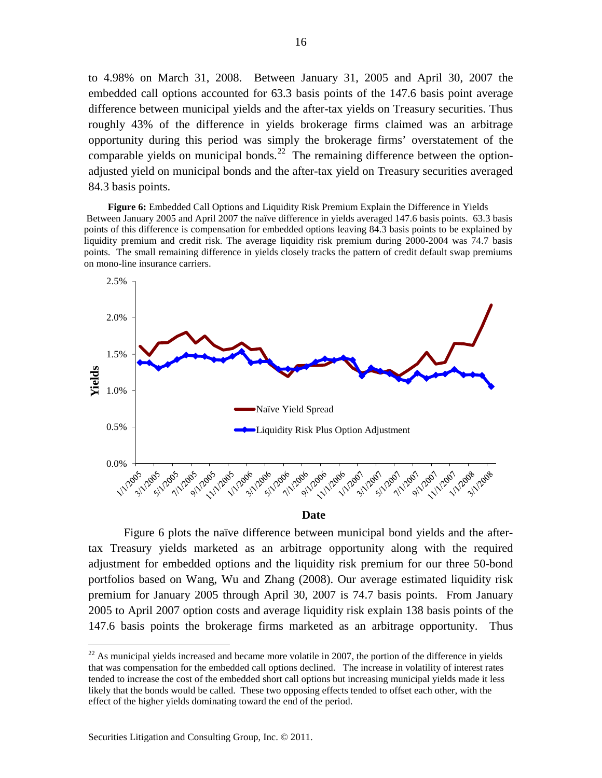to 4.98% on March 31, 2008. Between January 31, 2005 and April 30, 2007 the embedded call options accounted for 63.3 basis points of the 147.6 basis point average difference between municipal yields and the after-tax yields on Treasury securities. Thus roughly 43% of the difference in yields brokerage firms claimed was an arbitrage opportunity during this period was simply the brokerage firms' overstatement of the comparable yields on municipal bonds. $^{22}$  $^{22}$  $^{22}$  The remaining difference between the optionadjusted yield on municipal bonds and the after-tax yield on Treasury securities averaged 84.3 basis points.

**Figure 6:** Embedded Call Options and Liquidity Risk Premium Explain the Difference in Yields Between January 2005 and April 2007 the naïve difference in yields averaged 147.6 basis points. 63.3 basis points of this difference is compensation for embedded options leaving 84.3 basis points to be explained by liquidity premium and credit risk. The average liquidity risk premium during 2000-2004 was 74.7 basis points. The small remaining difference in yields closely tracks the pattern of credit default swap premiums on mono-line insurance carriers.



**Date**

Figure 6 plots the naïve difference between municipal bond yields and the aftertax Treasury yields marketed as an arbitrage opportunity along with the required adjustment for embedded options and the liquidity risk premium for our three 50-bond portfolios based on Wang, Wu and Zhang (2008). Our average estimated liquidity risk premium for January 2005 through April 30, 2007 is 74.7 basis points. From January 2005 to April 2007 option costs and average liquidity risk explain 138 basis points of the 147.6 basis points the brokerage firms marketed as an arbitrage opportunity. Thus

<span id="page-15-0"></span> $22$  As municipal vields increased and became more volatile in 2007, the portion of the difference in yields that was compensation for the embedded call options declined. The increase in volatility of interest rates tended to increase the cost of the embedded short call options but increasing municipal yields made it less likely that the bonds would be called. These two opposing effects tended to offset each other, with the effect of the higher yields dominating toward the end of the period.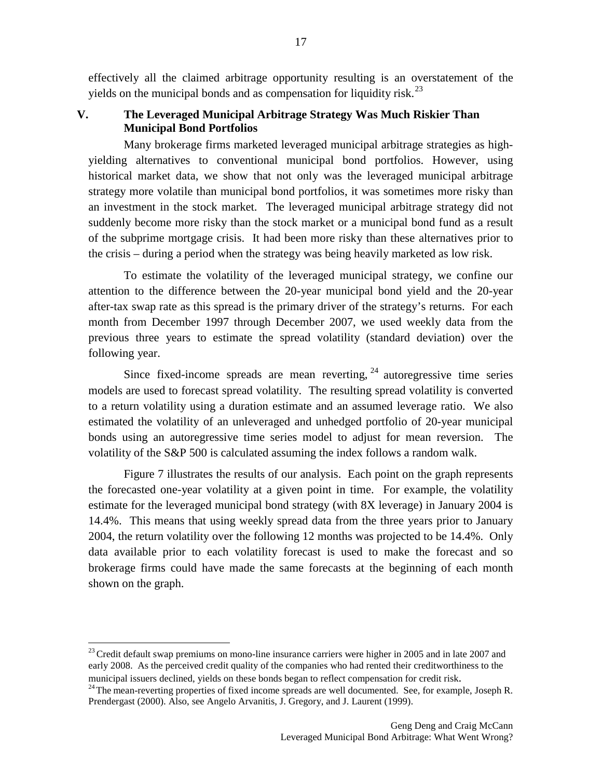effectively all the claimed arbitrage opportunity resulting is an overstatement of the yields on the municipal bonds and as compensation for liquidity risk.<sup>[23](#page-16-0)</sup>

17

# **V. The Leveraged Municipal Arbitrage Strategy Was Much Riskier Than Municipal Bond Portfolios**

Many brokerage firms marketed leveraged municipal arbitrage strategies as highyielding alternatives to conventional municipal bond portfolios. However, using historical market data, we show that not only was the leveraged municipal arbitrage strategy more volatile than municipal bond portfolios, it was sometimes more risky than an investment in the stock market. The leveraged municipal arbitrage strategy did not suddenly become more risky than the stock market or a municipal bond fund as a result of the subprime mortgage crisis. It had been more risky than these alternatives prior to the crisis – during a period when the strategy was being heavily marketed as low risk.

To estimate the volatility of the leveraged municipal strategy, we confine our attention to the difference between the 20-year municipal bond yield and the 20-year after-tax swap rate as this spread is the primary driver of the strategy's returns. For each month from December 1997 through December 2007, we used weekly data from the previous three years to estimate the spread volatility (standard deviation) over the following year.

Since fixed-income spreads are mean reverting,  $24$  autoregressive time series models are used to forecast spread volatility. The resulting spread volatility is converted to a return volatility using a duration estimate and an assumed leverage ratio. We also estimated the volatility of an unleveraged and unhedged portfolio of 20-year municipal bonds using an autoregressive time series model to adjust for mean reversion. The volatility of the S&P 500 is calculated assuming the index follows a random walk.

Figure 7 illustrates the results of our analysis. Each point on the graph represents the forecasted one-year volatility at a given point in time. For example, the volatility estimate for the leveraged municipal bond strategy (with 8X leverage) in January 2004 is 14.4%. This means that using weekly spread data from the three years prior to January 2004, the return volatility over the following 12 months was projected to be 14.4%. Only data available prior to each volatility forecast is used to make the forecast and so brokerage firms could have made the same forecasts at the beginning of each month shown on the graph.

<span id="page-16-0"></span> $23$  Credit default swap premiums on mono-line insurance carriers were higher in 2005 and in late 2007 and early 2008. As the perceived credit quality of the companies who had rented their creditworthiness to the municipal issuers declined, yields on these bonds began to reflect compensation for credit risk.<br><sup>24</sup>The mean-reverting properties of fixed income spreads are well documented. See, for example, Joseph R.

<span id="page-16-1"></span>Prendergast (2000). Also, see Angelo Arvanitis, J. Gregory, and J. Laurent (1999).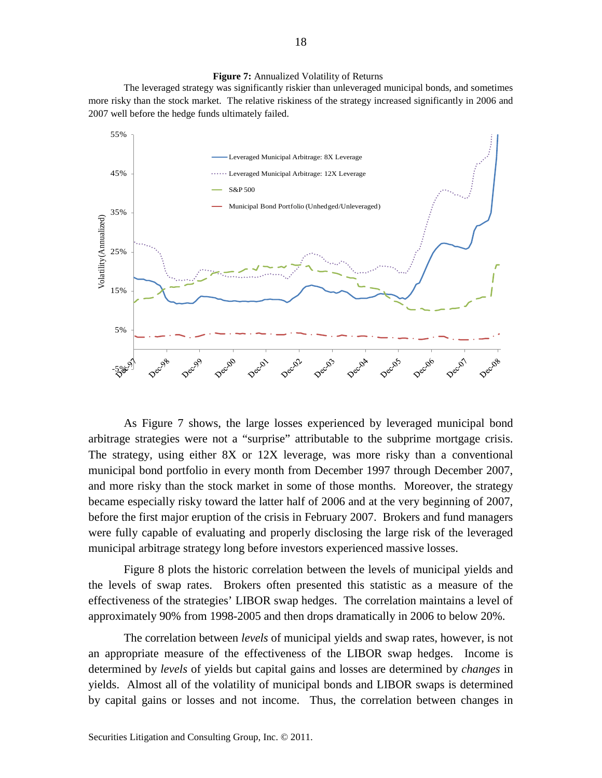#### **Figure 7:** Annualized Volatility of Returns

The leveraged strategy was significantly riskier than unleveraged municipal bonds, and sometimes more risky than the stock market. The relative riskiness of the strategy increased significantly in 2006 and 2007 well before the hedge funds ultimately failed.



As Figure 7 shows, the large losses experienced by leveraged municipal bond arbitrage strategies were not a "surprise" attributable to the subprime mortgage crisis. The strategy, using either 8X or 12X leverage, was more risky than a conventional municipal bond portfolio in every month from December 1997 through December 2007, and more risky than the stock market in some of those months. Moreover, the strategy became especially risky toward the latter half of 2006 and at the very beginning of 2007, before the first major eruption of the crisis in February 2007. Brokers and fund managers were fully capable of evaluating and properly disclosing the large risk of the leveraged municipal arbitrage strategy long before investors experienced massive losses.

Figure 8 plots the historic correlation between the levels of municipal yields and the levels of swap rates. Brokers often presented this statistic as a measure of the effectiveness of the strategies' LIBOR swap hedges. The correlation maintains a level of approximately 90% from 1998-2005 and then drops dramatically in 2006 to below 20%.

The correlation between *levels* of municipal yields and swap rates, however, is not an appropriate measure of the effectiveness of the LIBOR swap hedges. Income is determined by *levels* of yields but capital gains and losses are determined by *changes* in yields. Almost all of the volatility of municipal bonds and LIBOR swaps is determined by capital gains or losses and not income. Thus, the correlation between changes in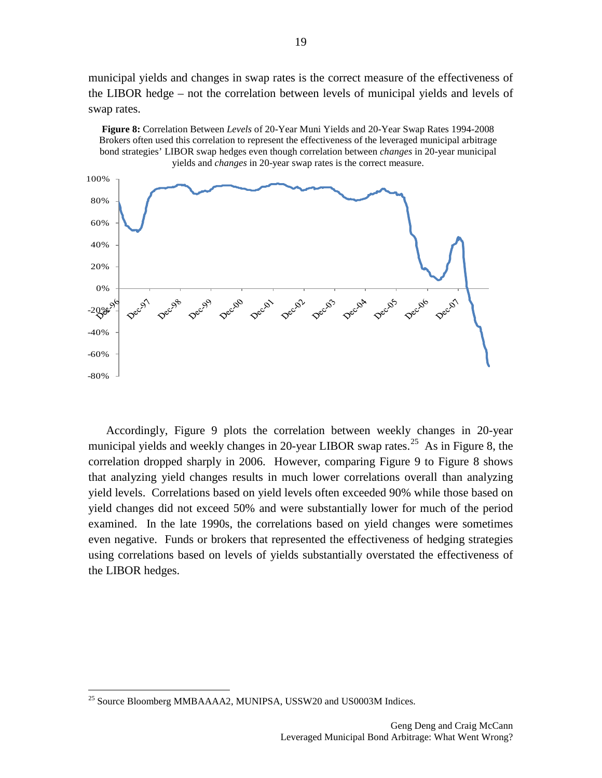municipal yields and changes in swap rates is the correct measure of the effectiveness of the LIBOR hedge – not the correlation between levels of municipal yields and levels of swap rates.

**Figure 8:** Correlation Between *Levels* of 20-Year Muni Yields and 20-Year Swap Rates 1994-2008



Accordingly, Figure 9 plots the correlation between weekly changes in 20-year municipal yields and weekly changes in 20-year LIBOR swap rates.<sup>[25](#page-18-0)</sup> As in Figure 8, the correlation dropped sharply in 2006. However, comparing Figure 9 to Figure 8 shows that analyzing yield changes results in much lower correlations overall than analyzing yield levels. Correlations based on yield levels often exceeded 90% while those based on yield changes did not exceed 50% and were substantially lower for much of the period examined. In the late 1990s, the correlations based on yield changes were sometimes even negative. Funds or brokers that represented the effectiveness of hedging strategies using correlations based on levels of yields substantially overstated the effectiveness of the LIBOR hedges.

<span id="page-18-0"></span><sup>&</sup>lt;sup>25</sup> Source Bloomberg MMBAAAA2, MUNIPSA, USSW20 and US0003M Indices.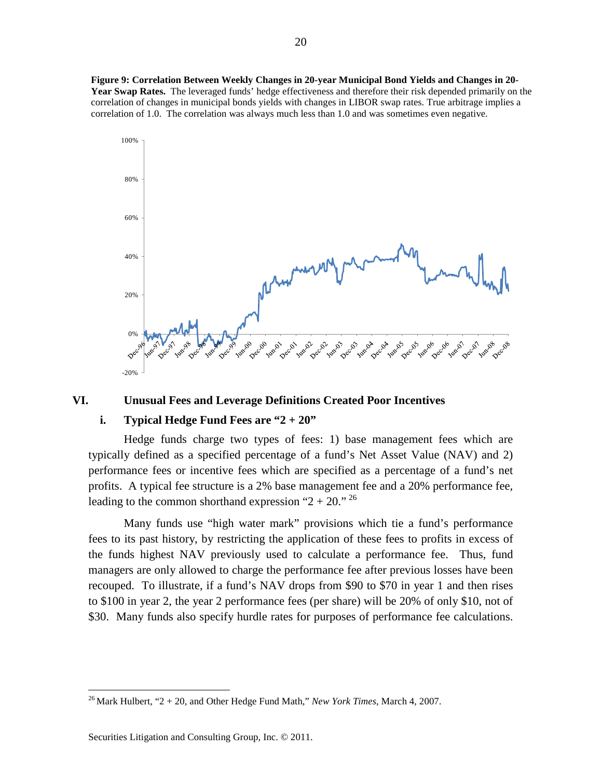**Figure 9: Correlation Between Weekly Changes in 20-year Municipal Bond Yields and Changes in 20- Year Swap Rates.** The leveraged funds' hedge effectiveness and therefore their risk depended primarily on the correlation of changes in municipal bonds yields with changes in LIBOR swap rates. True arbitrage implies a correlation of 1.0. The correlation was always much less than 1.0 and was sometimes even negative.



## **VI. Unusual Fees and Leverage Definitions Created Poor Incentives**

# **i. Typical Hedge Fund Fees are "2 + 20"**

Hedge funds charge two types of fees: 1) base management fees which are typically defined as a specified percentage of a fund's Net Asset Value (NAV) and 2) performance fees or incentive fees which are specified as a percentage of a fund's net profits. A typical fee structure is a 2% base management fee and a 20% performance fee, leading to the common shorthand expression " $2 + 20$ ." <sup>[26](#page-19-0)</sup>

Many funds use "high water mark" provisions which tie a fund's performance fees to its past history, by restricting the application of these fees to profits in excess of the funds highest NAV previously used to calculate a performance fee. Thus, fund managers are only allowed to charge the performance fee after previous losses have been recouped. To illustrate, if a fund's NAV drops from \$90 to \$70 in year 1 and then rises to \$100 in year 2, the year 2 performance fees (per share) will be 20% of only \$10, not of \$30. Many funds also specify hurdle rates for purposes of performance fee calculations.

<span id="page-19-0"></span> <sup>26</sup> Mark Hulbert, "2 + 20, and Other Hedge Fund Math," *New York Times*, March 4, 2007.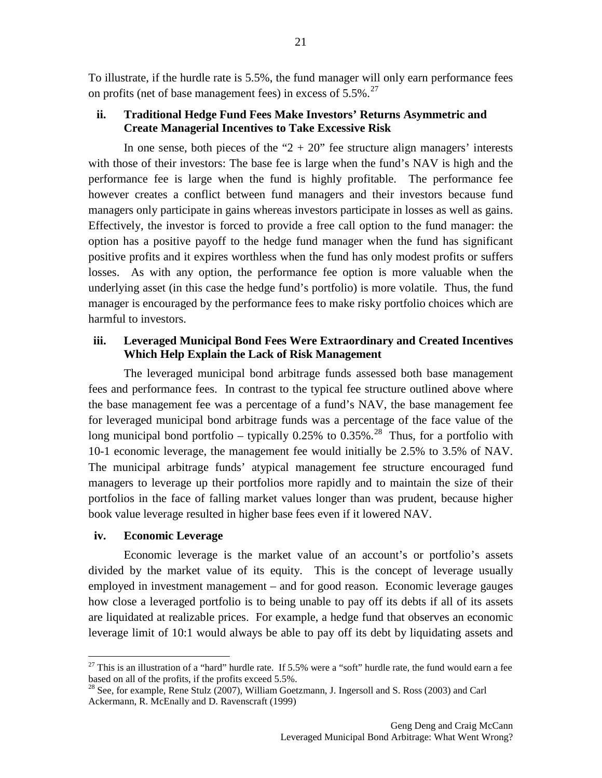To illustrate, if the hurdle rate is 5.5%, the fund manager will only earn performance fees on profits (net of base management fees) in excess of  $5.5\%$ .<sup>[27](#page-20-0)</sup>

# **ii. Traditional Hedge Fund Fees Make Investors' Returns Asymmetric and Create Managerial Incentives to Take Excessive Risk**

In one sense, both pieces of the " $2 + 20$ " fee structure align managers' interests with those of their investors: The base fee is large when the fund's NAV is high and the performance fee is large when the fund is highly profitable. The performance fee however creates a conflict between fund managers and their investors because fund managers only participate in gains whereas investors participate in losses as well as gains. Effectively, the investor is forced to provide a free call option to the fund manager: the option has a positive payoff to the hedge fund manager when the fund has significant positive profits and it expires worthless when the fund has only modest profits or suffers losses. As with any option, the performance fee option is more valuable when the underlying asset (in this case the hedge fund's portfolio) is more volatile. Thus, the fund manager is encouraged by the performance fees to make risky portfolio choices which are harmful to investors.

# **iii. Leveraged Municipal Bond Fees Were Extraordinary and Created Incentives Which Help Explain the Lack of Risk Management**

The leveraged municipal bond arbitrage funds assessed both base management fees and performance fees. In contrast to the typical fee structure outlined above where the base management fee was a percentage of a fund's NAV, the base management fee for leveraged municipal bond arbitrage funds was a percentage of the face value of the long municipal bond portfolio – typically  $0.25\%$  to  $0.35\%$ .<sup>[28](#page-20-1)</sup> Thus, for a portfolio with 10-1 economic leverage, the management fee would initially be 2.5% to 3.5% of NAV. The municipal arbitrage funds' atypical management fee structure encouraged fund managers to leverage up their portfolios more rapidly and to maintain the size of their portfolios in the face of falling market values longer than was prudent, because higher book value leverage resulted in higher base fees even if it lowered NAV.

# **iv. Economic Leverage**

Economic leverage is the market value of an account's or portfolio's assets divided by the market value of its equity. This is the concept of leverage usually employed in investment management – and for good reason. Economic leverage gauges how close a leveraged portfolio is to being unable to pay off its debts if all of its assets are liquidated at realizable prices. For example, a hedge fund that observes an economic leverage limit of 10:1 would always be able to pay off its debt by liquidating assets and

<span id="page-20-0"></span> $27$  This is an illustration of a "hard" hurdle rate. If 5.5% were a "soft" hurdle rate, the fund would earn a fee based on all of the profits, if the profits exceed 5.5%.

<span id="page-20-1"></span><sup>&</sup>lt;sup>28</sup> See, for example, Rene Stulz (2007), William Goetzmann, J. Ingersoll and S. Ross (2003) and Carl Ackermann, R. McEnally and D. Ravenscraft (1999)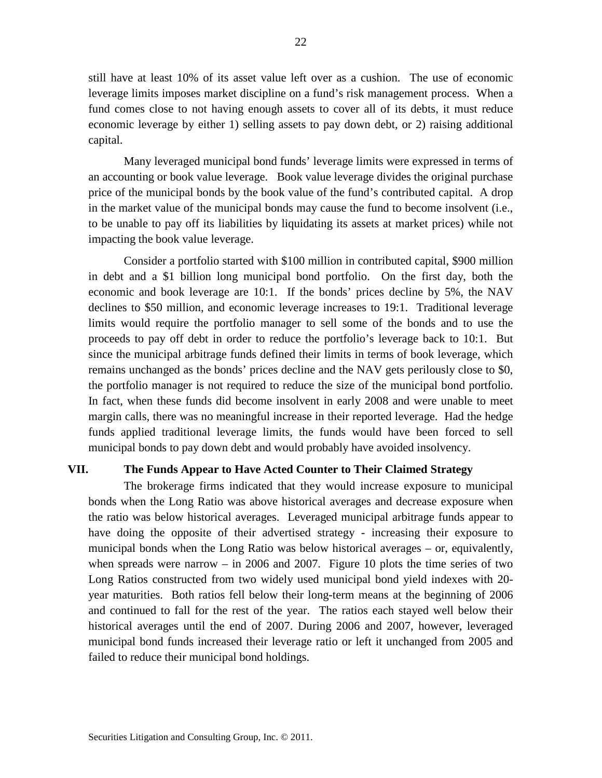still have at least 10% of its asset value left over as a cushion. The use of economic leverage limits imposes market discipline on a fund's risk management process. When a fund comes close to not having enough assets to cover all of its debts, it must reduce economic leverage by either 1) selling assets to pay down debt, or 2) raising additional capital.

Many leveraged municipal bond funds' leverage limits were expressed in terms of an accounting or book value leverage. Book value leverage divides the original purchase price of the municipal bonds by the book value of the fund's contributed capital. A drop in the market value of the municipal bonds may cause the fund to become insolvent (i.e., to be unable to pay off its liabilities by liquidating its assets at market prices) while not impacting the book value leverage.

Consider a portfolio started with \$100 million in contributed capital, \$900 million in debt and a \$1 billion long municipal bond portfolio. On the first day, both the economic and book leverage are 10:1. If the bonds' prices decline by 5%, the NAV declines to \$50 million, and economic leverage increases to 19:1. Traditional leverage limits would require the portfolio manager to sell some of the bonds and to use the proceeds to pay off debt in order to reduce the portfolio's leverage back to 10:1. But since the municipal arbitrage funds defined their limits in terms of book leverage, which remains unchanged as the bonds' prices decline and the NAV gets perilously close to \$0, the portfolio manager is not required to reduce the size of the municipal bond portfolio. In fact, when these funds did become insolvent in early 2008 and were unable to meet margin calls, there was no meaningful increase in their reported leverage. Had the hedge funds applied traditional leverage limits, the funds would have been forced to sell municipal bonds to pay down debt and would probably have avoided insolvency.

### **VII. The Funds Appear to Have Acted Counter to Their Claimed Strategy**

The brokerage firms indicated that they would increase exposure to municipal bonds when the Long Ratio was above historical averages and decrease exposure when the ratio was below historical averages. Leveraged municipal arbitrage funds appear to have doing the opposite of their advertised strategy - increasing their exposure to municipal bonds when the Long Ratio was below historical averages – or, equivalently, when spreads were narrow  $-$  in 2006 and 2007. Figure 10 plots the time series of two Long Ratios constructed from two widely used municipal bond yield indexes with 20 year maturities. Both ratios fell below their long-term means at the beginning of 2006 and continued to fall for the rest of the year. The ratios each stayed well below their historical averages until the end of 2007. During 2006 and 2007, however, leveraged municipal bond funds increased their leverage ratio or left it unchanged from 2005 and failed to reduce their municipal bond holdings.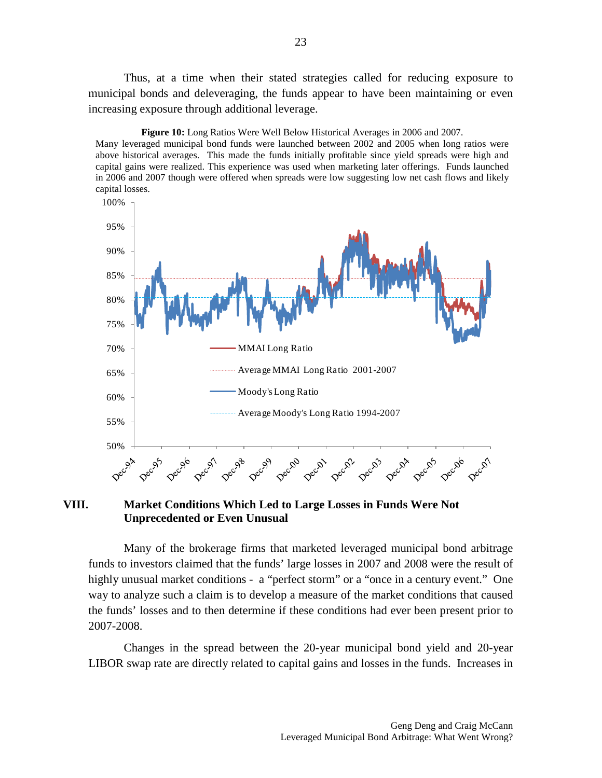Thus, at a time when their stated strategies called for reducing exposure to municipal bonds and deleveraging, the funds appear to have been maintaining or even increasing exposure through additional leverage.



**Figure 10:** Long Ratios Were Well Below Historical Averages in 2006 and 2007.

Many leveraged municipal bond funds were launched between 2002 and 2005 when long ratios were above historical averages. This made the funds initially profitable since yield spreads were high and capital gains were realized. This experience was used when marketing later offerings. Funds launched in 2006 and 2007 though were offered when spreads were low suggesting low net cash flows and likely capital losses.

# **VIII. Market Conditions Which Led to Large Losses in Funds Were Not Unprecedented or Even Unusual**

Many of the brokerage firms that marketed leveraged municipal bond arbitrage funds to investors claimed that the funds' large losses in 2007 and 2008 were the result of highly unusual market conditions - a "perfect storm" or a "once in a century event." One way to analyze such a claim is to develop a measure of the market conditions that caused the funds' losses and to then determine if these conditions had ever been present prior to 2007-2008.

Changes in the spread between the 20-year municipal bond yield and 20-year LIBOR swap rate are directly related to capital gains and losses in the funds. Increases in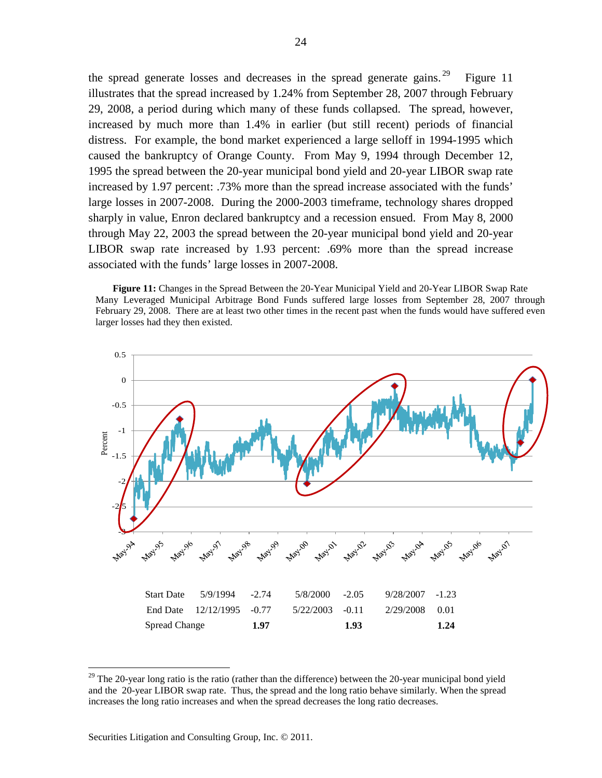the spread generate losses and decreases in the spread generate gains. <sup>[29](#page-23-0)</sup> Figure 11 illustrates that the spread increased by 1.24% from September 28, 2007 through February 29, 2008, a period during which many of these funds collapsed. The spread, however, increased by much more than 1.4% in earlier (but still recent) periods of financial distress. For example, the bond market experienced a large selloff in 1994-1995 which caused the bankruptcy of Orange County. From May 9, 1994 through December 12, 1995 the spread between the 20-year municipal bond yield and 20-year LIBOR swap rate increased by 1.97 percent: .73% more than the spread increase associated with the funds' large losses in 2007-2008. During the 2000-2003 timeframe, technology shares dropped sharply in value, Enron declared bankruptcy and a recession ensued. From May 8, 2000 through May 22, 2003 the spread between the 20-year municipal bond yield and 20-year LIBOR swap rate increased by 1.93 percent: .69% more than the spread increase associated with the funds' large losses in 2007-2008.

**Figure 11:** Changes in the Spread Between the 20-Year Municipal Yield and 20-Year LIBOR Swap Rate Many Leveraged Municipal Arbitrage Bond Funds suffered large losses from September 28, 2007 through February 29, 2008. There are at least two other times in the recent past when the funds would have suffered even larger losses had they then existed.



<span id="page-23-0"></span><sup>&</sup>lt;sup>29</sup> The 20-year long ratio is the ratio (rather than the difference) between the 20-year municipal bond yield and the 20-year LIBOR swap rate. Thus, the spread and the long ratio behave similarly. When the spread increases the long ratio increases and when the spread decreases the long ratio decreases.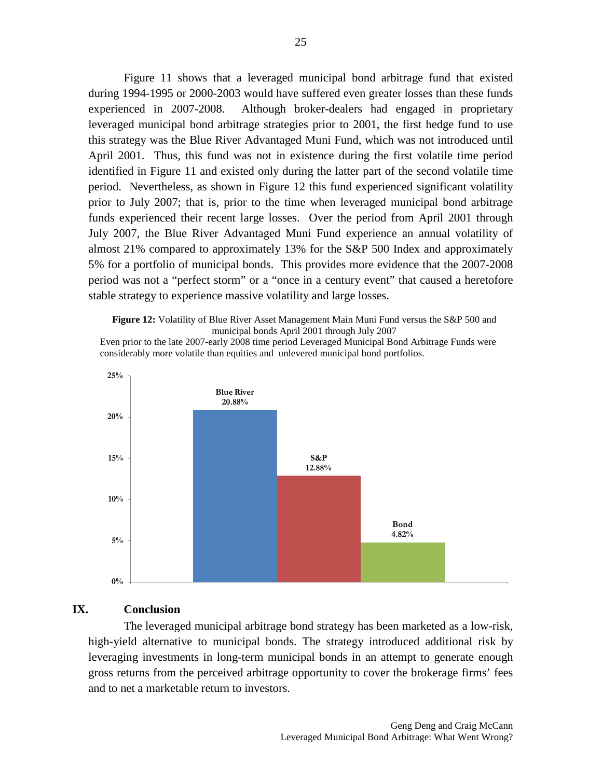Figure 11 shows that a leveraged municipal bond arbitrage fund that existed during 1994-1995 or 2000-2003 would have suffered even greater losses than these funds experienced in 2007-2008. Although broker-dealers had engaged in proprietary leveraged municipal bond arbitrage strategies prior to 2001, the first hedge fund to use this strategy was the Blue River Advantaged Muni Fund, which was not introduced until April 2001. Thus, this fund was not in existence during the first volatile time period identified in Figure 11 and existed only during the latter part of the second volatile time period. Nevertheless, as shown in Figure 12 this fund experienced significant volatility prior to July 2007; that is, prior to the time when leveraged municipal bond arbitrage funds experienced their recent large losses. Over the period from April 2001 through July 2007, the Blue River Advantaged Muni Fund experience an annual volatility of almost 21% compared to approximately 13% for the S&P 500 Index and approximately 5% for a portfolio of municipal bonds. This provides more evidence that the 2007-2008 period was not a "perfect storm" or a "once in a century event" that caused a heretofore stable strategy to experience massive volatility and large losses.

**Figure 12:** Volatility of Blue River Asset Management Main Muni Fund versus the S&P 500 and municipal bonds April 2001 through July 2007

Even prior to the late 2007-early 2008 time period Leveraged Municipal Bond Arbitrage Funds were considerably more volatile than equities and unlevered municipal bond portfolios.



## **IX. Conclusion**

The leveraged municipal arbitrage bond strategy has been marketed as a low-risk, high-yield alternative to municipal bonds. The strategy introduced additional risk by leveraging investments in long-term municipal bonds in an attempt to generate enough gross returns from the perceived arbitrage opportunity to cover the brokerage firms' fees and to net a marketable return to investors.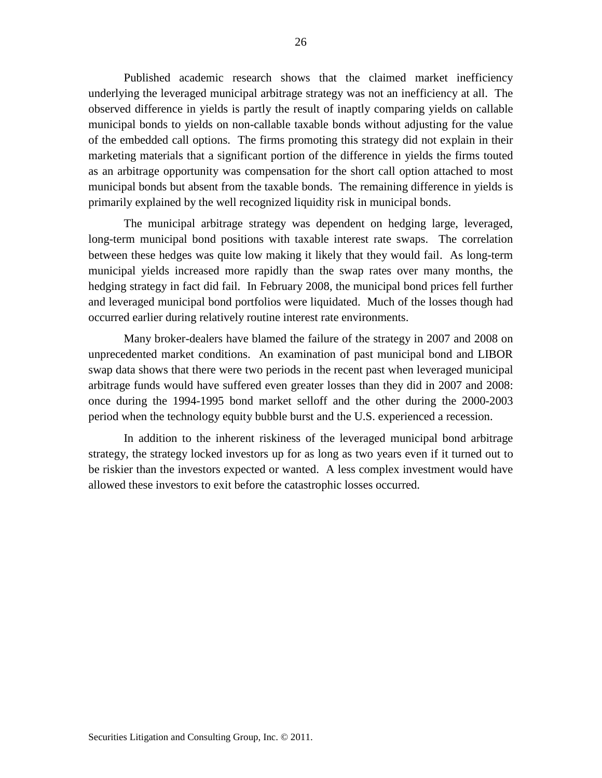Published academic research shows that the claimed market inefficiency underlying the leveraged municipal arbitrage strategy was not an inefficiency at all. The observed difference in yields is partly the result of inaptly comparing yields on callable municipal bonds to yields on non-callable taxable bonds without adjusting for the value of the embedded call options. The firms promoting this strategy did not explain in their marketing materials that a significant portion of the difference in yields the firms touted as an arbitrage opportunity was compensation for the short call option attached to most municipal bonds but absent from the taxable bonds. The remaining difference in yields is primarily explained by the well recognized liquidity risk in municipal bonds.

The municipal arbitrage strategy was dependent on hedging large, leveraged, long-term municipal bond positions with taxable interest rate swaps. The correlation between these hedges was quite low making it likely that they would fail. As long-term municipal yields increased more rapidly than the swap rates over many months, the hedging strategy in fact did fail. In February 2008, the municipal bond prices fell further and leveraged municipal bond portfolios were liquidated. Much of the losses though had occurred earlier during relatively routine interest rate environments.

Many broker-dealers have blamed the failure of the strategy in 2007 and 2008 on unprecedented market conditions. An examination of past municipal bond and LIBOR swap data shows that there were two periods in the recent past when leveraged municipal arbitrage funds would have suffered even greater losses than they did in 2007 and 2008: once during the 1994-1995 bond market selloff and the other during the 2000-2003 period when the technology equity bubble burst and the U.S. experienced a recession.

In addition to the inherent riskiness of the leveraged municipal bond arbitrage strategy, the strategy locked investors up for as long as two years even if it turned out to be riskier than the investors expected or wanted. A less complex investment would have allowed these investors to exit before the catastrophic losses occurred.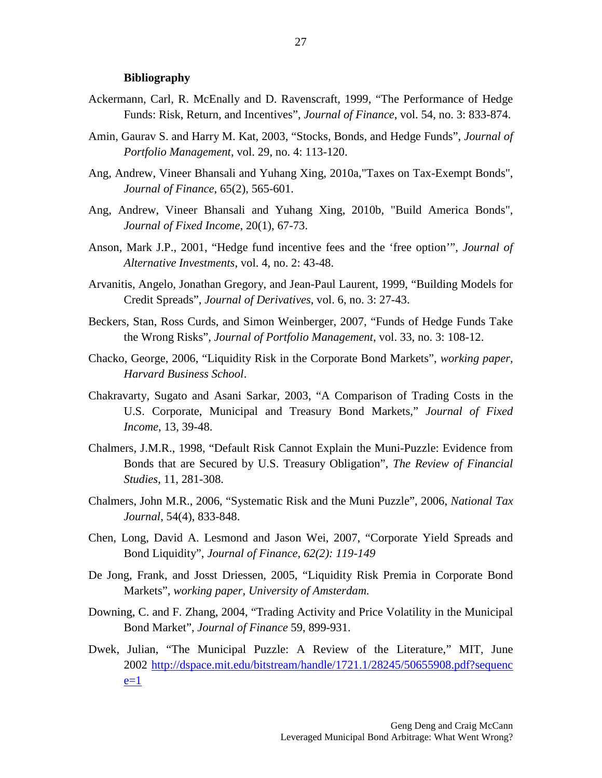#### **Bibliography**

- Ackermann, Carl, R. McEnally and D. Ravenscraft, 1999, "The Performance of Hedge Funds: Risk, Return, and Incentives", *Journal of Finance*, vol. 54, no. 3: 833-874.
- Amin, Gaurav S. and Harry M. Kat, 2003, "Stocks, Bonds, and Hedge Funds", *Journal of Portfolio Management*, vol. 29, no. 4: 113-120.
- Ang, Andrew, Vineer Bhansali and Yuhang Xing, 2010a,"Taxes on Tax-Exempt Bonds", *Journal of Finance*, 65(2), 565-601.
- Ang, Andrew, Vineer Bhansali and Yuhang Xing, 2010b, "Build America Bonds", *Journal of Fixed Income*, 20(1), 67-73.
- Anson, Mark J.P., 2001, "Hedge fund incentive fees and the 'free option'", *Journal of Alternative Investments*, vol. 4, no. 2: 43-48.
- Arvanitis, Angelo, Jonathan Gregory, and Jean-Paul Laurent, 1999, "Building Models for Credit Spreads", *Journal of Derivatives*, vol. 6, no. 3: 27-43.
- Beckers, Stan, Ross Curds, and Simon Weinberger, 2007, "Funds of Hedge Funds Take the Wrong Risks", *Journal of Portfolio Management*, vol. 33, no. 3: 108-12.
- Chacko, George, 2006, "Liquidity Risk in the Corporate Bond Markets", *working paper, Harvard Business School*.
- Chakravarty, Sugato and Asani Sarkar, 2003, "A Comparison of Trading Costs in the U.S. Corporate, Municipal and Treasury Bond Markets," *Journal of Fixed Income*, 13, 39-48.
- Chalmers, J.M.R., 1998, "Default Risk Cannot Explain the Muni-Puzzle: Evidence from Bonds that are Secured by U.S. Treasury Obligation", *The Review of Financial Studies*, 11, 281-308.
- Chalmers, John M.R., 2006, "Systematic Risk and the Muni Puzzle", 2006, *National Tax Journal*, 54(4), 833-848.
- Chen, Long, David A. Lesmond and Jason Wei, 2007, "Corporate Yield Spreads and Bond Liquidity", *Journal of Finance, 62(2): 119-149*
- De Jong, Frank, and Josst Driessen, 2005, "Liquidity Risk Premia in Corporate Bond Markets", *working paper, University of Amsterdam.*
- Downing, C. and F. Zhang, 2004, "Trading Activity and Price Volatility in the Municipal Bond Market", *Journal of Finance* 59, 899-931.
- Dwek, Julian, "The Municipal Puzzle: A Review of the Literature," MIT, June 2002 [http://dspace.mit.edu/bitstream/handle/1721.1/28245/50655908.pdf?sequenc](http://dspace.mit.edu/bitstream/handle/1721.1/28245/50655908.pdf?sequence=1)  $e=1$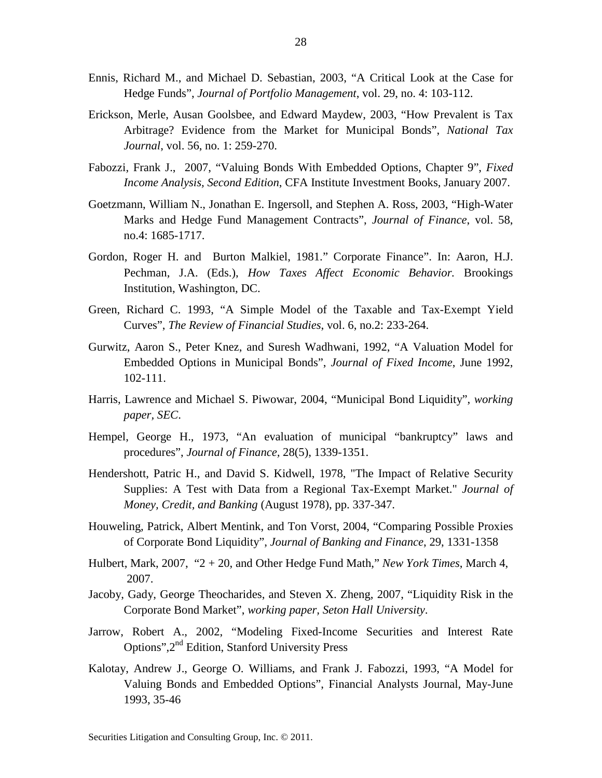- Ennis, Richard M., and Michael D. Sebastian, 2003, "A Critical Look at the Case for Hedge Funds", *Journal of Portfolio Management*, vol. 29, no. 4: 103-112.
- Erickson, Merle, Ausan Goolsbee, and Edward Maydew, 2003, "How Prevalent is Tax Arbitrage? Evidence from the Market for Municipal Bonds", *National Tax Journal*, vol. 56, no. 1: 259-270.
- Fabozzi, [Frank J., 2](http://www.cfapubs.org/action/doSearch?action=runSearch&type=advanced&result=true&prevSearch=%2Bauthorsfield%3A%28Fabozzi,%20Frank%20J.%29)007, "Valuing Bonds With Embedded Options, Chapter 9", *Fixed Income Analysis, Second Edition*, CFA Institute Investment Books, January 2007.
- Goetzmann, William N., Jonathan E. Ingersoll, and Stephen A. Ross, 2003, "High-Water Marks and Hedge Fund Management Contracts", *Journal of Finance*, vol. 58, no.4: 1685-1717.
- Gordon, Roger H. and Burton Malkiel, 1981." Corporate Finance". In: Aaron, H.J. Pechman, J.A. (Eds.), *How Taxes Affect Economic Behavior.* Brookings Institution, Washington, DC.
- Green, Richard C. 1993, "A Simple Model of the Taxable and Tax-Exempt Yield Curves", *The Review of Financial Studies*, vol. 6, no.2: 233-264.
- Gurwitz, Aaron S., Peter Knez, and Suresh Wadhwani, 1992, "A Valuation Model for Embedded Options in Municipal Bonds", *Journal of Fixed Income*, June 1992, 102-111.
- Harris, Lawrence and Michael S. Piwowar, 2004, "Municipal Bond Liquidity", *working paper, SEC*.
- Hempel, George H., 1973, "An evaluation of municipal "bankruptcy" laws and procedures", *Journal of Finance,* 28(5), 1339-1351.
- Hendershott, Patric H., and David S. Kidwell, 1978, "The Impact of Relative Security Supplies: A Test with Data from a Regional Tax-Exempt Market." *Journal of Money, Credit, and Banking* (August 1978), pp. 337-347.
- Houweling, Patrick, Albert Mentink, and Ton Vorst, 2004, "Comparing Possible Proxies of Corporate Bond Liquidity", *Journal of Banking and Finance*, 29, 1331-1358
- Hulbert, Mark, 2007, "2 + 20, and Other Hedge Fund Math," *New York Times*, March 4, 2007.
- Jacoby, Gady, George Theocharides, and Steven X. Zheng, 2007, "Liquidity Risk in the Corporate Bond Market", *working paper, Seton Hall University*.
- Jarrow, Robert A., 2002, "Modeling Fixed-Income Securities and Interest Rate Options",2nd Edition, Stanford University Press
- Kalotay, Andrew J., George O. Williams, and Frank J. Fabozzi, 1993, "A Model for Valuing Bonds and Embedded Options", Financial Analysts Journal, May-June 1993, 35-46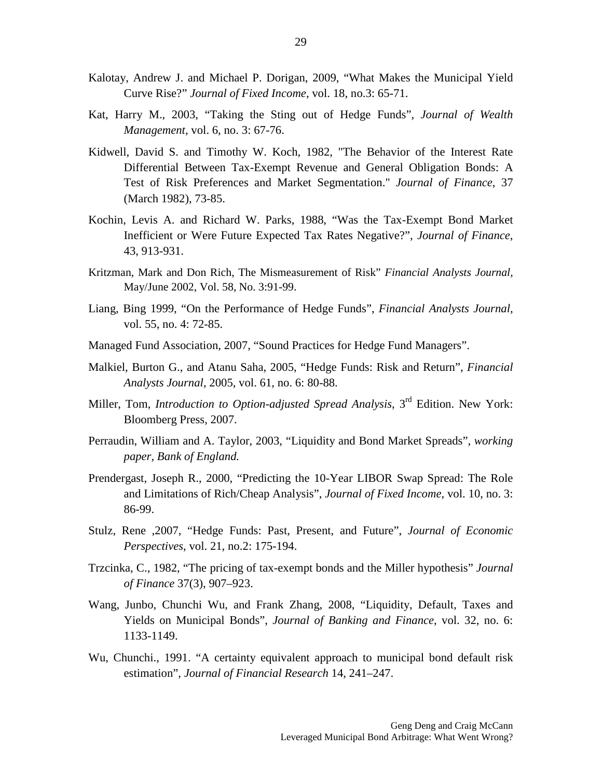- Kalotay, Andrew J. and Michael P. Dorigan, 2009, "What Makes the Municipal Yield Curve Rise?" *Journal of Fixed Income*, vol. 18, no.3: 65-71.
- Kat, Harry M., 2003, "Taking the Sting out of Hedge Funds", *Journal of Wealth Management*, vol. 6, no. 3: 67-76.
- Kidwell, David S. and Timothy W. Koch, 1982, "The Behavior of the Interest Rate Differential Between Tax-Exempt Revenue and General Obligation Bonds: A Test of Risk Preferences and Market Segmentation." *Journal of Finance*, 37 (March 1982), 73-85.
- Kochin, Levis A. and Richard W. Parks, 1988, "Was the Tax-Exempt Bond Market Inefficient or Were Future Expected Tax Rates Negative?", *Journal of Finance*, 43, 913-931.
- Kritzman, Mark and Don Rich, The Mismeasurement of Risk" *Financial Analysts Journal*, May/June 2002, Vol. 58, No. 3:91-99.
- Liang, Bing 1999, "On the Performance of Hedge Funds", *Financial Analysts Journal*, vol. 55, no. 4: 72-85.
- Managed Fund Association, 2007, "Sound Practices for Hedge Fund Managers".
- Malkiel, Burton G., and Atanu Saha, 2005, "Hedge Funds: Risk and Return", *Financial Analysts Journal*, 2005, vol. 61, no. 6: 80-88.
- Miller, Tom, *Introduction to Option-adjusted Spread Analysis*, 3rd Edition. New York: Bloomberg Press, 2007.
- Perraudin, William and A. Taylor, 2003, "Liquidity and Bond Market Spreads", *working paper, Bank of England.*
- Prendergast, Joseph R., 2000, "Predicting the 10-Year LIBOR Swap Spread: The Role and Limitations of Rich/Cheap Analysis", *Journal of Fixed Income*, vol. 10, no. 3: 86-99.
- Stulz, Rene ,2007, "Hedge Funds: Past, Present, and Future", *Journal of Economic Perspectives*, vol. 21, no.2: 175-194.
- Trzcinka, C., 1982, "The pricing of tax-exempt bonds and the Miller hypothesis" *Journal of Finance* 37(3), 907–923.
- Wang, Junbo, Chunchi Wu, and Frank Zhang, 2008, "Liquidity, Default, Taxes and Yields on Municipal Bonds", *Journal of Banking and Finance*, vol. 32, no. 6: 1133-1149.
- Wu, Chunchi., 1991. "A certainty equivalent approach to municipal bond default risk estimation", *Journal of Financial Research* 14, 241–247.